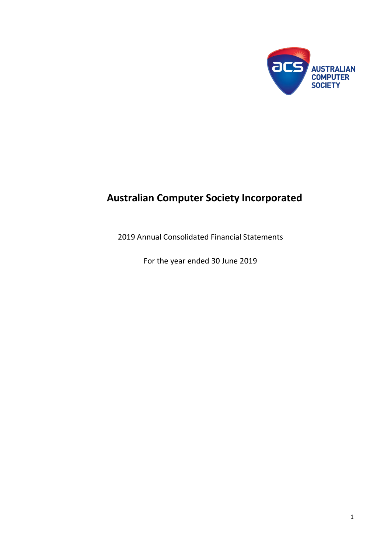

# **Australian Computer Society Incorporated**

2019 Annual Consolidated Financial Statements

For the year ended 30 June 2019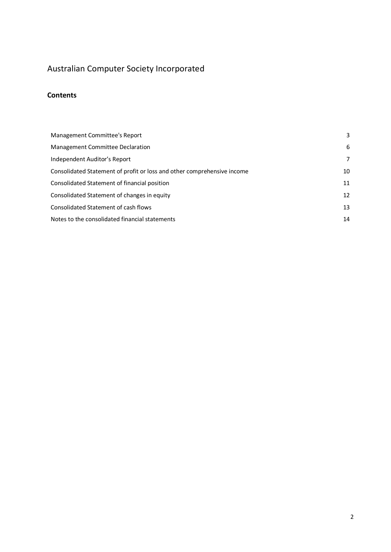### Australian Computer Society Incorporated

### **Contents**

| Management Committee's Report                                           | 3  |
|-------------------------------------------------------------------------|----|
| Management Committee Declaration                                        | 6  |
| Independent Auditor's Report                                            | 7  |
| Consolidated Statement of profit or loss and other comprehensive income | 10 |
| Consolidated Statement of financial position                            | 11 |
| Consolidated Statement of changes in equity                             | 12 |
| Consolidated Statement of cash flows                                    | 13 |
| Notes to the consolidated financial statements                          | 14 |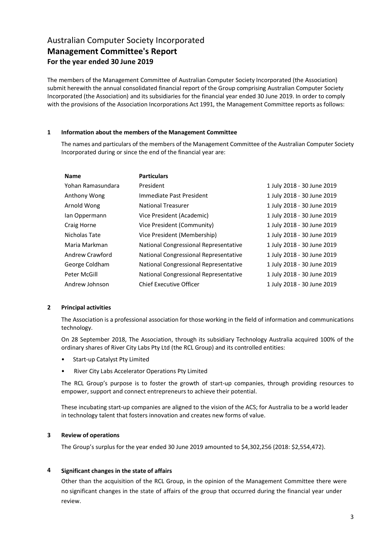### Australian Computer Society Incorporated **Management Committee's Report For the year ended 30 June 2019**

The members of the Management Committee of Australian Computer Society Incorporated (the Association) submit herewith the annual consolidated financial report of the Group comprising Australian Computer Society Incorporated (the Association) and its subsidiaries for the financial year ended 30 June 2019. In order to comply with the provisions of the Association Incorporations Act 1991, the Management Committee reports as follows:

#### **1 Information about the members of the Management Committee**

The names and particulars of the members of the Management Committee of the Australian Computer Society Incorporated during or since the end of the financial year are:

| <b>Name</b>       | <b>Particulars</b>                    |                            |
|-------------------|---------------------------------------|----------------------------|
| Yohan Ramasundara | President                             | 1 July 2018 - 30 June 2019 |
| Anthony Wong      | Immediate Past President              | 1 July 2018 - 30 June 2019 |
| Arnold Wong       | <b>National Treasurer</b>             | 1 July 2018 - 30 June 2019 |
| Ian Oppermann     | Vice President (Academic)             | 1 July 2018 - 30 June 2019 |
| Craig Horne       | Vice President (Community)            | 1 July 2018 - 30 June 2019 |
| Nicholas Tate     | Vice President (Membership)           | 1 July 2018 - 30 June 2019 |
| Maria Markman     | National Congressional Representative | 1 July 2018 - 30 June 2019 |
| Andrew Crawford   | National Congressional Representative | 1 July 2018 - 30 June 2019 |
| George Coldham    | National Congressional Representative | 1 July 2018 - 30 June 2019 |
| Peter McGill      | National Congressional Representative | 1 July 2018 - 30 June 2019 |
| Andrew Johnson    | <b>Chief Executive Officer</b>        | 1 July 2018 - 30 June 2019 |

#### **2 Principal activities**

The Association is a professional association for those working in the field of information and communications technology.

On 28 September 2018, The Association, through its subsidiary Technology Australia acquired 100% of the ordinary shares of River City Labs Pty Ltd (the RCL Group) and its controlled entities:

- Start-up Catalyst Pty Limited
- River City Labs Accelerator Operations Pty Limited

The RCL Group's purpose is to foster the growth of start-up companies, through providing resources to empower, support and connect entrepreneurs to achieve their potential.

These incubating start-up companies are aligned to the vision of the ACS; for Australia to be a world leader in technology talent that fosters innovation and creates new forms of value.

#### **3 Review of operations**

The Group's surplus for the year ended 30 June 2019 amounted to \$4,302,256 (2018: \$2,554,472).

#### **4 Significant changes in the state of affairs**

Other than the acquisition of the RCL Group, in the opinion of the Management Committee there were no significant changes in the state of affairs of the group that occurred during the financial year under review.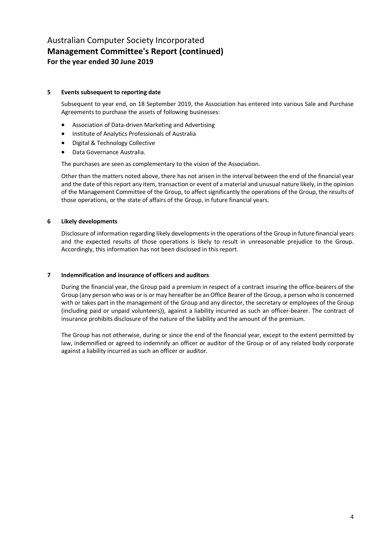### Australian Computer Society Incorporated **Management Committee's Report (continued) For the year ended 30 June 2019**

#### **5 Events subsequent to reporting date**

Subsequent to year end, on 18 September 2019, the Association has entered into various Sale and Purchase Agreements to purchase the assets of following businesses:

- Association of Data-driven Marketing and Advertising
- Institute of Analytics Professionals of Australia
- Digital & Technology Collective
- Data Governance Australia.

The purchases are seen as complementary to the vision of the Association.

Other than the matters noted above, there has not arisen in the interval between the end of the financial year and the date of this report any item, transaction or event of a material and unusual nature likely, in the opinion of the Management Committee of the Group, to affect significantly the operations of the Group, the results of those operations, or the state of affairs of the Group, in future financial years.

#### **6 Likely developments**

Disclosure of information regarding likely developments in the operations of the Group in future financial years and the expected results of those operations is likely to result in unreasonable prejudice to the Group. Accordingly, this information has not been disclosed in this report.

#### **7 Indemnification and insurance of officers and auditors**

During the financial year, the Group paid a premium in respect of a contract insuring the office-bearers of the Group (any person who was or is or may hereafter be an Office Bearer of the Group, a person who is concerned with or takes part in the management of the Group and any director, the secretary or employees of the Group (including paid or unpaid volunteers)), against a liability incurred as such an officer-bearer. The contract of insurance prohibits disclosure of the nature of the liability and the amount of the premium.

The Group has not otherwise, during or since the end of the financial year, except to the extent permitted by law, indemnified or agreed to indemnify an officer or auditor of the Group or of any related body corporate against a liability incurred as such an officer or auditor.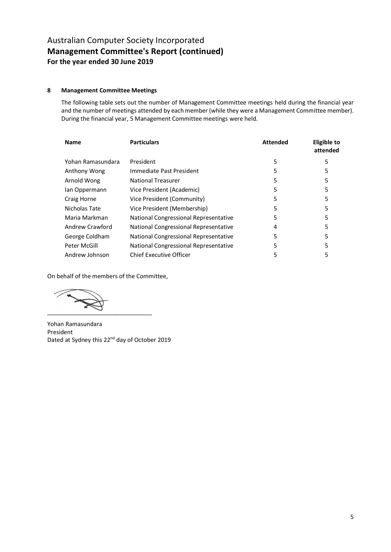### Australian Computer Society Incorporated **Management Committee's Report (continued) For the year ended 30 June 2019**

#### **8 Management Committee Meetings**

The following table sets out the number of Management Committee meetings held during the financial year and the number of meetings attended by each member (while they were a Management Committee member). During the financial year, 5 Management Committee meetings were held.

| <b>Name</b>       | <b>Particulars</b>                    | <b>Attended</b> | Eligible to<br>attended |
|-------------------|---------------------------------------|-----------------|-------------------------|
| Yohan Ramasundara | President                             | 5               | 5                       |
| Anthony Wong      | Immediate Past President              | 5               | 5                       |
| Arnold Wong       | <b>National Treasurer</b>             | 5               | 5                       |
| lan Oppermann     | Vice President (Academic)             | 5               | 5                       |
| Craig Horne       | Vice President (Community)            | 5               | 5                       |
| Nicholas Tate     | Vice President (Membership)           | 5               | 5                       |
| Maria Markman     | National Congressional Representative | 5               | 5                       |
| Andrew Crawford   | National Congressional Representative | 4               | 5                       |
| George Coldham    | National Congressional Representative | 5               | 5                       |
| Peter McGill      | National Congressional Representative | 5               | 5                       |
| Andrew Johnson    | Chief Executive Officer               | 5               | 5                       |

On behalf of the members of the Committee,

 $\sqrt{2}$ \_\_\_\_\_\_\_\_\_\_\_\_\_\_\_\_\_\_\_\_\_\_\_\_\_\_\_\_\_\_\_\_

Yohan Ramasundara President Dated at Sydney this 22<sup>nd</sup> day of October 2019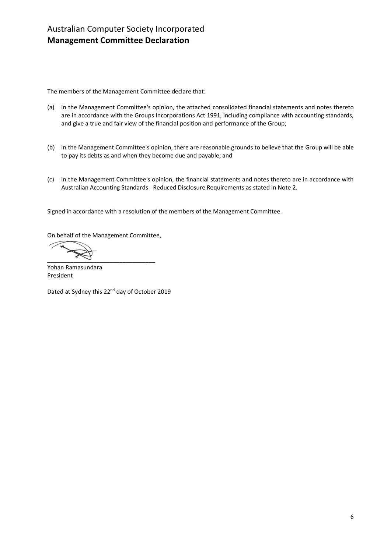The members of the Management Committee declare that:

- (a) in the Management Committee's opinion, the attached consolidated financial statements and notes thereto are in accordance with the Groups Incorporations Act 1991, including compliance with accounting standards, and give a true and fair view of the financial position and performance of the Group;
- (b) in the Management Committee's opinion, there are reasonable grounds to believe that the Group will be able to pay its debts as and when they become due and payable; and
- (c) in the Management Committee's opinion, the financial statements and notes thereto are in accordance with Australian Accounting Standards - Reduced Disclosure Requirements as stated in Note 2.

Signed in accordance with a resolution of the members of the Management Committee.

On behalf of the Management Committee,

 $\overbrace{\phantom{xxxxx}}$  ,  $\overbrace{\phantom{xxxxx}}$  ,  $\overbrace{\phantom{xxxxx}}$  ,  $\overbrace{\phantom{xxxxx}}$ 

Yohan Ramasundara President

Dated at Sydney this 22<sup>nd</sup> day of October 2019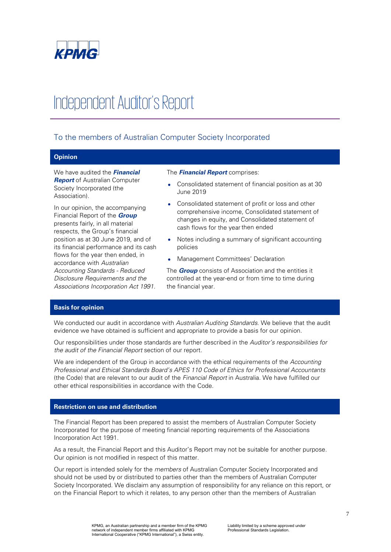

# Independent Auditor's Report

### To the members of Australian Computer Society Incorporated

### **Opinion**

We have audited the **Financial Report** of Australian Computer Society Incorporated (the Association).

In our opinion, the accompanying Financial Report of the **Group**  presents fairly, in all material respects, the Group's financial position as at 30 June 2019, and of its financial performance and its cash flows for the year then ended, in accordance with Australian Accounting Standards - Reduced Disclosure Requirements and the Associations Incorporation Act 1991.

#### The **Financial Report** comprises:

- Consolidated statement of financial position as at 30 June 2019
- Consolidated statement of profit or loss and other comprehensive income, Consolidated statement of changes in equity, and Consolidated statement of cash flows for the year then ended
- Notes including a summary of significant accounting policies
- Management Committees' Declaration

The **Group** consists of Association and the entities it controlled at the year-end or from time to time during the financial year.

#### **Basis for opinion**

We conducted our audit in accordance with Australian Auditing Standards. We believe that the audit evidence we have obtained is sufficient and appropriate to provide a basis for our opinion.

Our responsibilities under those standards are further described in the Auditor's responsibilities for the audit of the Financial Report section of our report.

We are independent of the Group in accordance with the ethical requirements of the Accounting Professional and Ethical Standards Board's APES 110 Code of Ethics for Professional Accountants (the Code) that are relevant to our audit of the Financial Report in Australia. We have fulfilled our other ethical responsibilities in accordance with the Code.

#### **Restriction on use and distribution**

The Financial Report has been prepared to assist the members of Australian Computer Society Incorporated for the purpose of meeting financial reporting requirements of the Associations Incorporation Act 1991.

As a result, the Financial Report and this Auditor's Report may not be suitable for another purpose. Our opinion is not modified in respect of this matter.

Our report is intended solely for the *members* of Australian Computer Society Incorporated and should not be used by or distributed to parties other than the members of Australian Computer Society Incorporated. We disclaim any assumption of responsibility for any reliance on this report, or on the Financial Report to which it relates, to any person other than the members of Australian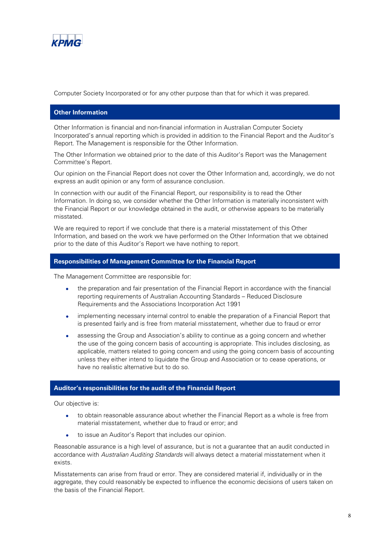

Computer Society Incorporated or for any other purpose than that for which it was prepared.

#### **Other Information**

Other Information is financial and non-financial information in Australian Computer Society Incorporated's annual reporting which is provided in addition to the Financial Report and the Auditor's Report. The Management is responsible for the Other Information.

The Other Information we obtained prior to the date of this Auditor's Report was the Management Committee's Report.

Our opinion on the Financial Report does not cover the Other Information and, accordingly, we do not express an audit opinion or any form of assurance conclusion.

In connection with our audit of the Financial Report, our responsibility is to read the Other Information. In doing so, we consider whether the Other Information is materially inconsistent with the Financial Report or our knowledge obtained in the audit, or otherwise appears to be materially misstated.

We are required to report if we conclude that there is a material misstatement of this Other Information, and based on the work we have performed on the Other Information that we obtained prior to the date of this Auditor's Report we have nothing to report.

#### **Responsibilities of Management Committee for the Financial Report**

The Management Committee are responsible for:

- the preparation and fair presentation of the Financial Report in accordance with the financial reporting requirements of Australian Accounting Standards – Reduced Disclosure Requirements and the Associations Incorporation Act 1991
- implementing necessary internal control to enable the preparation of a Financial Report that is presented fairly and is free from material misstatement, whether due to fraud or error
- assessing the Group and Association's ability to continue as a going concern and whether the use of the going concern basis of accounting is appropriate. This includes disclosing, as applicable, matters related to going concern and using the going concern basis of accounting unless they either intend to liquidate the Group and Association or to cease operations, or have no realistic alternative but to do so.

#### **Auditor's responsibilities for the audit of the Financial Report**

Our objective is:

- to obtain reasonable assurance about whether the Financial Report as a whole is free from material misstatement, whether due to fraud or error; and
- to issue an Auditor's Report that includes our opinion.

Reasonable assurance is a high level of assurance, but is not a guarantee that an audit conducted in accordance with Australian Auditing Standards will always detect a material misstatement when it exists.

Misstatements can arise from fraud or error. They are considered material if, individually or in the aggregate, they could reasonably be expected to influence the economic decisions of users taken on the basis of the Financial Report.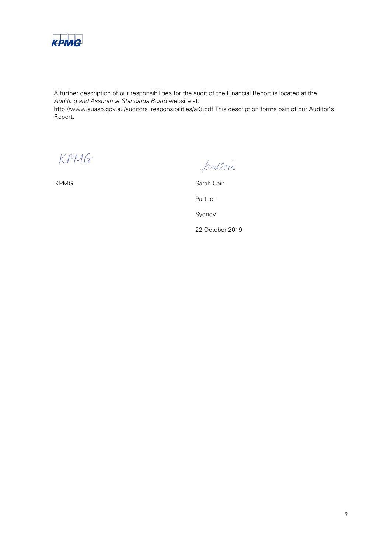

A further description of our responsibilities for the audit of the Financial Report is located at the Auditing and Assurance Standards Board website at: http://www.auasb.gov.au/auditors\_responsibilities/ar3.pdf This description forms part of our Auditor's Report.

KPMG

farallain

KPMG Sarah Cain Partner Sydney 22 October 2019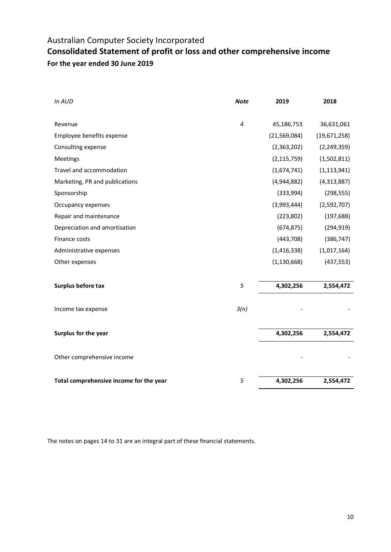### Australian Computer Society Incorporated **Consolidated Statement of profit or loss and other comprehensive income For the year ended 30 June 2019**

| In AUD                                  | <b>Note</b> | 2019           | 2018          |
|-----------------------------------------|-------------|----------------|---------------|
|                                         |             |                |               |
| Revenue                                 | 4           | 45,186,753     | 36,631,061    |
| Employee benefits expense               |             | (21, 569, 084) | (19,671,258)  |
| Consulting expense                      |             | (2,363,202)    | (2, 249, 359) |
| <b>Meetings</b>                         |             | (2, 115, 759)  | (1,502,811)   |
| Travel and accommodation                |             | (1,674,741)    | (1, 113, 941) |
| Marketing, PR and publications          |             | (4,944,882)    | (4,313,887)   |
| Sponsorship                             |             | (333,994)      | (298, 555)    |
| Occupancy expenses                      |             | (3,993,444)    | (2,592,707)   |
| Repair and maintenance                  |             | (223, 802)     | (197, 688)    |
| Depreciation and amortisation           |             | (674, 875)     | (294, 919)    |
| Finance costs                           |             | (443,708)      | (386, 747)    |
| Administrative expenses                 |             | (1, 416, 338)  | (1,017,164)   |
| Other expenses                          |             | (1, 130, 668)  | (437, 553)    |
|                                         |             |                |               |
| Surplus before tax                      | 5           | 4,302,256      | 2,554,472     |
|                                         |             |                |               |
| Income tax expense                      | 3(n)        |                |               |
| Surplus for the year                    |             | 4,302,256      | 2,554,472     |
|                                         |             |                |               |
| Other comprehensive income              |             |                |               |
|                                         |             |                |               |
| Total comprehensive income for the year | 5           | 4,302,256      | 2,554,472     |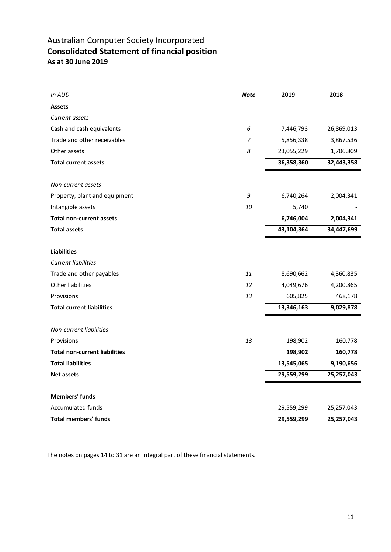### Australian Computer Society Incorporated **Consolidated Statement of financial position As at 30 June 2019**

| In AUD                               | <b>Note</b> | 2019       | 2018       |
|--------------------------------------|-------------|------------|------------|
| <b>Assets</b>                        |             |            |            |
| Current assets                       |             |            |            |
| Cash and cash equivalents            | 6           | 7,446,793  | 26,869,013 |
| Trade and other receivables          | 7           | 5,856,338  | 3,867,536  |
| Other assets                         | 8           | 23,055,229 | 1,706,809  |
| <b>Total current assets</b>          |             | 36,358,360 | 32,443,358 |
|                                      |             |            |            |
| Non-current assets                   |             |            |            |
| Property, plant and equipment        | 9           | 6,740,264  | 2,004,341  |
| Intangible assets                    | 10          | 5,740      |            |
| <b>Total non-current assets</b>      |             | 6,746,004  | 2,004,341  |
| <b>Total assets</b>                  |             | 43,104,364 | 34,447,699 |
|                                      |             |            |            |
| <b>Liabilities</b>                   |             |            |            |
| <b>Current liabilities</b>           |             |            |            |
| Trade and other payables             | 11          | 8,690,662  | 4,360,835  |
| Other liabilities                    | 12          | 4,049,676  | 4,200,865  |
| Provisions                           | 13          | 605,825    | 468,178    |
| <b>Total current liabilities</b>     |             | 13,346,163 | 9,029,878  |
|                                      |             |            |            |
| Non-current liabilities              |             |            |            |
| Provisions                           | 13          | 198,902    | 160,778    |
| <b>Total non-current liabilities</b> |             | 198,902    | 160,778    |
| <b>Total liabilities</b>             |             | 13,545,065 | 9,190,656  |
| <b>Net assets</b>                    |             | 29,559,299 | 25,257,043 |
|                                      |             |            |            |
| <b>Members' funds</b>                |             |            |            |
| Accumulated funds                    |             | 29,559,299 | 25,257,043 |
| <b>Total members' funds</b>          |             | 29,559,299 | 25,257,043 |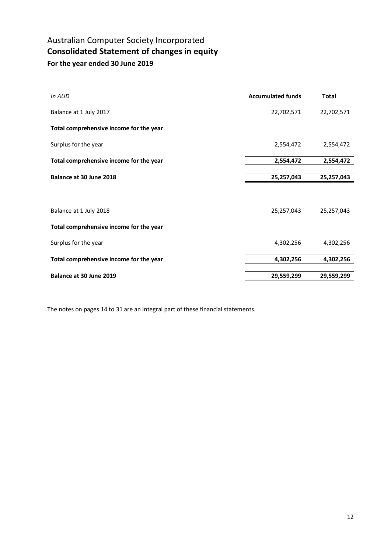### Australian Computer Society Incorporated **Consolidated Statement of changes in equity For the year ended 30 June 2019**

| In AUD                                  | <b>Accumulated funds</b> | <b>Total</b> |
|-----------------------------------------|--------------------------|--------------|
| Balance at 1 July 2017                  | 22,702,571               | 22,702,571   |
| Total comprehensive income for the year |                          |              |
| Surplus for the year                    | 2,554,472                | 2,554,472    |
| Total comprehensive income for the year | 2,554,472                | 2,554,472    |
| Balance at 30 June 2018                 | 25,257,043               | 25,257,043   |
|                                         |                          |              |
| Balance at 1 July 2018                  | 25,257,043               | 25,257,043   |
| Total comprehensive income for the year |                          |              |
| Surplus for the year                    | 4,302,256                | 4,302,256    |
| Total comprehensive income for the year | 4,302,256                | 4,302,256    |
| Balance at 30 June 2019                 | 29,559,299               | 29,559,299   |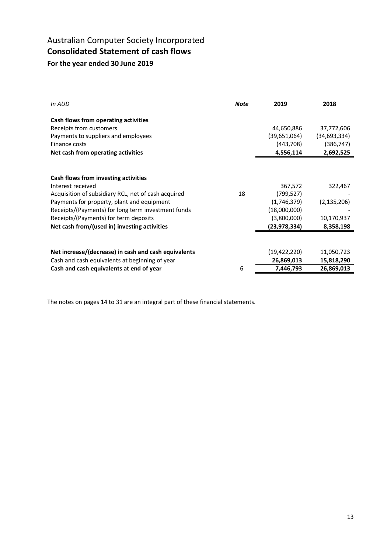### Australian Computer Society Incorporated **Consolidated Statement of cash flows For the year ended 30 June 2019**

| In AUD                                               | <b>Note</b> | 2019           | 2018           |
|------------------------------------------------------|-------------|----------------|----------------|
| Cash flows from operating activities                 |             |                |                |
| Receipts from customers                              |             | 44,650,886     | 37,772,606     |
| Payments to suppliers and employees                  |             | (39,651,064)   | (34, 693, 334) |
| Finance costs                                        |             | (443,708)      | (386,747)      |
| Net cash from operating activities                   |             | 4,556,114      | 2,692,525      |
|                                                      |             |                |                |
| Cash flows from investing activities                 |             |                |                |
| Interest received                                    |             | 367,572        | 322,467        |
| Acquisition of subsidiary RCL, net of cash acquired  | 18          | (799,527)      |                |
| Payments for property, plant and equipment           |             | (1,746,379)    | (2, 135, 206)  |
| Receipts/(Payments) for long term investment funds   |             | (18,000,000)   |                |
| Receipts/(Payments) for term deposits                |             | (3,800,000)    | 10,170,937     |
| Net cash from/(used in) investing activities         |             | (23, 978, 334) | 8,358,198      |
|                                                      |             |                |                |
| Net increase/(decrease) in cash and cash equivalents |             | (19,422,220)   | 11,050,723     |
| Cash and cash equivalents at beginning of year       |             | 26,869,013     | 15,818,290     |
| Cash and cash equivalents at end of year             | 6           | 7,446,793      | 26,869,013     |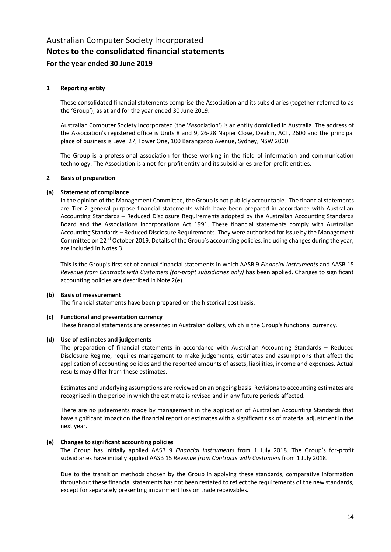#### **1 Reporting entity**

These consolidated financial statements comprise the Association and its subsidiaries (together referred to as the 'Group'), as at and for the year ended 30 June 2019.

Australian Computer Society Incorporated (the 'Association') is an entity domiciled in Australia. The address of the Association's registered office is Units 8 and 9, 26-28 Napier Close, Deakin, ACT, 2600 and the principal place of business is Level 27, Tower One, 100 Barangaroo Avenue, Sydney, NSW 2000.

The Group is a professional association for those working in the field of information and communication technology. The Association is a not-for-profit entity and its subsidiaries are for-profit entities.

#### **2 Basis of preparation**

#### **(a) Statement of compliance**

In the opinion of the Management Committee, the Group is not publicly accountable. The financial statements are Tier 2 general purpose financial statements which have been prepared in accordance with Australian Accounting Standards – Reduced Disclosure Requirements adopted by the Australian Accounting Standards Board and the Associations Incorporations Act 1991. These financial statements comply with Australian Accounting Standards – Reduced Disclosure Requirements. They were authorised for issue by the Management Committee on 22<sup>nd</sup> October 2019. Details of the Group's accounting policies, including changes during the year, are included in Notes 3.

This is the Group's first set of annual financial statements in which AASB 9 *Financial Instruments* and AASB 15 *Revenue from Contracts with Customers (for-profit subsidiaries only)* has been applied. Changes to significant accounting policies are described in Note 2(e).

#### **(b) Basis of measurement**

The financial statements have been prepared on the historical cost basis.

#### **(c) Functional and presentation currency**

These financial statements are presented in Australian dollars, which is the Group's functional currency.

#### **(d) Use of estimates and judgements**

The preparation of financial statements in accordance with Australian Accounting Standards – Reduced Disclosure Regime, requires management to make judgements, estimates and assumptions that affect the application of accounting policies and the reported amounts of assets, liabilities, income and expenses. Actual results may differ from these estimates.

Estimates and underlying assumptions are reviewed on an ongoing basis. Revisions to accounting estimates are recognised in the period in which the estimate is revised and in any future periods affected.

There are no judgements made by management in the application of Australian Accounting Standards that have significant impact on the financial report or estimates with a significant risk of material adjustment in the next year.

#### **(e) Changes to significant accounting policies**

The Group has initially applied AASB 9 *Financial Instruments* from 1 July 2018. The Group's for-profit subsidiaries have initially applied AASB 15 *Revenue from Contracts with Customers* from 1 July 2018.

Due to the transition methods chosen by the Group in applying these standards, comparative information throughout these financial statements has not been restated to reflect the requirements of the new standards, except for separately presenting impairment loss on trade receivables.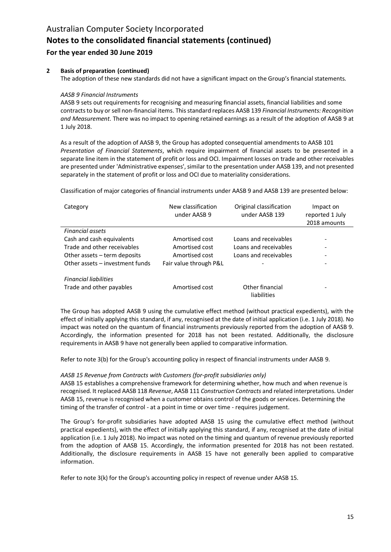# Australian Computer Society Incorporated **Notes to the consolidated financial statements (continued)**

### **For the year ended 30 June 2019**

#### **2 Basis of preparation (continued)**

The adoption of these new standards did not have a significant impact on the Group's financial statements.

#### *AASB 9 Financial Instruments*

AASB 9 sets out requirements for recognising and measuring financial assets, financial liabilities and some contracts to buy or sell non-financial items. This standard replaces AASB 139 *Financial Instruments: Recognition and Measurement*. There was no impact to opening retained earnings as a result of the adoption of AASB 9 at 1 July 2018.

As a result of the adoption of AASB 9, the Group has adopted consequential amendments to AASB 101 *Presentation of Financial Statements*, which require impairment of financial assets to be presented in a separate line item in the statement of profit or loss and OCI. Impairment losses on trade and other receivables are presented under 'Administrative expenses', similar to the presentation under AASB 139, and not presented separately in the statement of profit or loss and OCI due to materiality considerations.

Classification of major categories of financial instruments under AASB 9 and AASB 139 are presented below:

| Category                        | New classification<br>under AASB 9 | Original classification<br>under AASB 139 | Impact on<br>reported 1 July<br>2018 amounts |
|---------------------------------|------------------------------------|-------------------------------------------|----------------------------------------------|
| <b>Financial assets</b>         |                                    |                                           |                                              |
| Cash and cash equivalents       | Amortised cost                     | Loans and receivables                     |                                              |
| Trade and other receivables     | Amortised cost                     | Loans and receivables                     |                                              |
| Other assets $-$ term deposits  | Amortised cost                     | Loans and receivables                     |                                              |
| Other assets – investment funds | Fair value through P&L             |                                           |                                              |
| <b>Financial liabilities</b>    |                                    |                                           |                                              |
| Trade and other payables        | Amortised cost                     | Other financial<br>liabilities            |                                              |

The Group has adopted AASB 9 using the cumulative effect method (without practical expedients), with the effect of initially applying this standard, if any, recognised at the date of initial application (i.e. 1 July 2018). No impact was noted on the quantum of financial instruments previously reported from the adoption of AASB 9. Accordingly, the information presented for 2018 has not been restated. Additionally, the disclosure requirements in AASB 9 have not generally been applied to comparative information.

Refer to note 3(b) for the Group's accounting policy in respect of financial instruments under AASB 9.

#### *AASB 15 Revenue from Contracts with Customers (for-profit subsidiaries only)*

AASB 15 establishes a comprehensive framework for determining whether, how much and when revenue is recognised. It replaced AASB 118 *Revenue*, AASB 111 *Construction Contracts* and related interpretations. Under AASB 15, revenue is recognised when a customer obtains control of the goods or services. Determining the timing of the transfer of control - at a point in time or over time - requires judgement.

The Group's for-profit subsidiaries have adopted AASB 15 using the cumulative effect method (without practical expedients), with the effect of initially applying this standard, if any, recognised at the date of initial application (i.e. 1 July 2018). No impact was noted on the timing and quantum of revenue previously reported from the adoption of AASB 15. Accordingly, the information presented for 2018 has not been restated. Additionally, the disclosure requirements in AASB 15 have not generally been applied to comparative information.

Refer to note 3(k) for the Group's accounting policy in respect of revenue under AASB 15.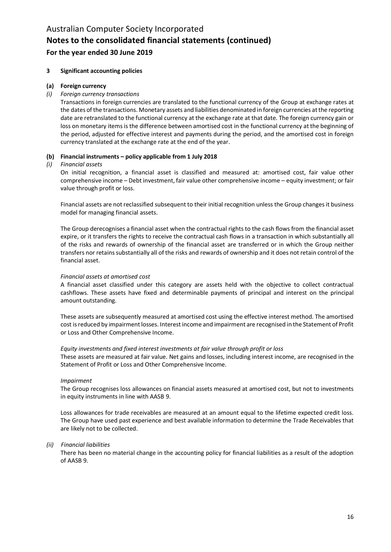#### **3 Significant accounting policies**

#### **(a) Foreign currency**

#### *(i) Foreign currency transactions*

Transactions in foreign currencies are translated to the functional currency of the Group at exchange rates at the dates of the transactions. Monetary assets and liabilities denominated in foreign currencies at the reporting date are retranslated to the functional currency at the exchange rate at that date. The foreign currency gain or loss on monetary items is the difference between amortised cost in the functional currency at the beginning of the period, adjusted for effective interest and payments during the period, and the amortised cost in foreign currency translated at the exchange rate at the end of the year.

#### **(b) Financial instruments – policy applicable from 1 July 2018**

#### *(i) Financial assets*

On initial recognition, a financial asset is classified and measured at: amortised cost, fair value other comprehensive income – Debt investment, fair value other comprehensive income – equity investment; or fair value through profit or loss.

Financial assets are not reclassified subsequent to their initial recognition unless the Group changes it business model for managing financial assets.

The Group derecognises a financial asset when the contractual rights to the cash flows from the financial asset expire, or it transfers the rights to receive the contractual cash flows in a transaction in which substantially all of the risks and rewards of ownership of the financial asset are transferred or in which the Group neither transfers nor retains substantially all of the risks and rewards of ownership and it does not retain control of the financial asset.

#### *Financial assets at amortised cost*

A financial asset classified under this category are assets held with the objective to collect contractual cashflows. These assets have fixed and determinable payments of principal and interest on the principal amount outstanding.

These assets are subsequently measured at amortised cost using the effective interest method. The amortised cost is reduced by impairment losses. Interest income and impairment are recognised in the Statement of Profit or Loss and Other Comprehensive Income.

#### *Equity investments and fixed interest investments at fair value through profit or loss*

These assets are measured at fair value. Net gains and losses, including interest income, are recognised in the Statement of Profit or Loss and Other Comprehensive Income.

#### *Impairment*

The Group recognises loss allowances on financial assets measured at amortised cost, but not to investments in equity instruments in line with AASB 9.

Loss allowances for trade receivables are measured at an amount equal to the lifetime expected credit loss. The Group have used past experience and best available information to determine the Trade Receivables that are likely not to be collected.

#### *(ii) Financial liabilities*

There has been no material change in the accounting policy for financial liabilities as a result of the adoption of AASB 9.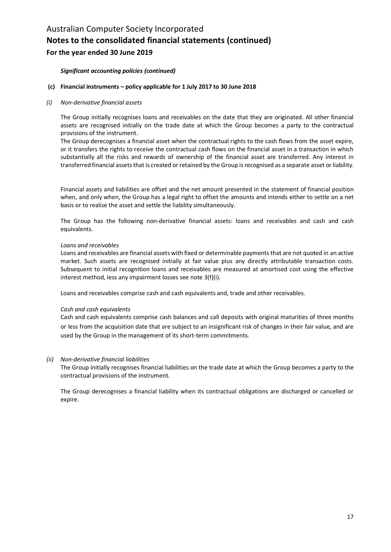#### *Significant accounting policies (continued)*

#### **(c) Financial instruments – policy applicable for 1 July 2017 to 30 June 2018**

#### *(i) Non-derivative financial assets*

The Group initially recognises loans and receivables on the date that they are originated. All other financial assets are recognised initially on the trade date at which the Group becomes a party to the contractual provisions of the instrument.

The Group derecognises a financial asset when the contractual rights to the cash flows from the asset expire, or it transfers the rights to receive the contractual cash flows on the financial asset in a transaction in which substantially all the risks and rewards of ownership of the financial asset are transferred. Any interest in transferred financial assets that is created or retained by the Group is recognised as a separate asset or liability.

Financial assets and liabilities are offset and the net amount presented in the statement of financial position when, and only when, the Group has a legal right to offset the amounts and intends either to settle on a net basis or to realise the asset and settle the liability simultaneously.

The Group has the following non-derivative financial assets: loans and receivables and cash and cash equivalents.

#### *Loans and receivables*

Loans and receivables are financial assets with fixed or determinable payments that are not quoted in an active market. Such assets are recognised initially at fair value plus any directly attributable transaction costs. Subsequent to initial recognition loans and receivables are measured at amortised cost using the effective interest method, less any impairment losses see note 3(f)(i).

Loans and receivables comprise cash and cash equivalents and, trade and other receivables.

#### *Cash and cash equivalents*

Cash and cash equivalents comprise cash balances and call deposits with original maturities of three months or less from the acquisition date that are subject to an insignificant risk of changes in their fair value, and are used by the Group in the management of its short-term commitments.

#### *(ii) Non-derivative financial liabilities*

The Group initially recognises financial liabilities on the trade date at which the Group becomes a party to the contractual provisions of the instrument.

The Group derecognises a financial liability when its contractual obligations are discharged or cancelled or expire.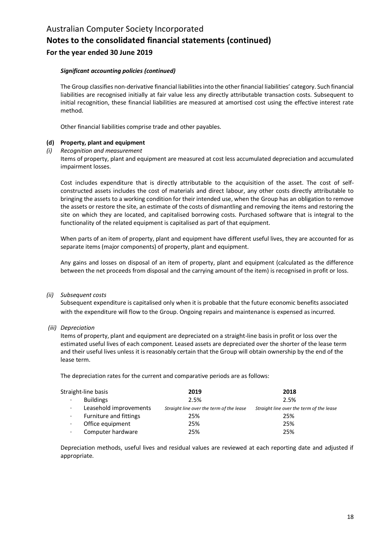#### *Significant accounting policies (continued)*

The Group classifies non-derivative financial liabilities into the other financial liabilities' category. Such financial liabilities are recognised initially at fair value less any directly attributable transaction costs. Subsequent to initial recognition, these financial liabilities are measured at amortised cost using the effective interest rate method.

Other financial liabilities comprise trade and other payables.

#### **(d) Property, plant and equipment**

*(i) Recognition and measurement*

Items of property, plant and equipment are measured at cost less accumulated depreciation and accumulated impairment losses.

Cost includes expenditure that is directly attributable to the acquisition of the asset. The cost of selfconstructed assets includes the cost of materials and direct labour, any other costs directly attributable to bringing the assets to a working condition for their intended use, when the Group has an obligation to remove the assets or restore the site, an estimate of the costs of dismantling and removing the items and restoring the site on which they are located, and capitalised borrowing costs. Purchased software that is integral to the functionality of the related equipment is capitalised as part of that equipment.

When parts of an item of property, plant and equipment have different useful lives, they are accounted for as separate items (major components) of property, plant and equipment.

Any gains and losses on disposal of an item of property, plant and equipment (calculated as the difference between the net proceeds from disposal and the carrying amount of the item) is recognised in profit or loss.

#### *(ii) Subsequent costs*

Subsequent expenditure is capitalised only when it is probable that the future economic benefits associated with the expenditure will flow to the Group. Ongoing repairs and maintenance is expensed as incurred.

#### *(iii) Depreciation*

Items of property, plant and equipment are depreciated on a straight-line basis in profit or loss over the estimated useful lives of each component. Leased assets are depreciated over the shorter of the lease term and their useful lives unless it is reasonably certain that the Group will obtain ownership by the end of the lease term.

The depreciation rates for the current and comparative periods are as follows:

|           | Straight-line basis    | 2019                                     | 2018                                     |
|-----------|------------------------|------------------------------------------|------------------------------------------|
| $\bullet$ | <b>Buildings</b>       | 2.5%                                     | 2.5%                                     |
| $\bullet$ | Leasehold improvements | Straight line over the term of the lease | Straight line over the term of the lease |
| ٠         | Furniture and fittings | 25%                                      | 25%                                      |
| $\cdot$   | Office equipment       | 25%                                      | 25%                                      |
| $\cdot$   | Computer hardware      | 25%                                      | 25%                                      |

Depreciation methods, useful lives and residual values are reviewed at each reporting date and adjusted if appropriate.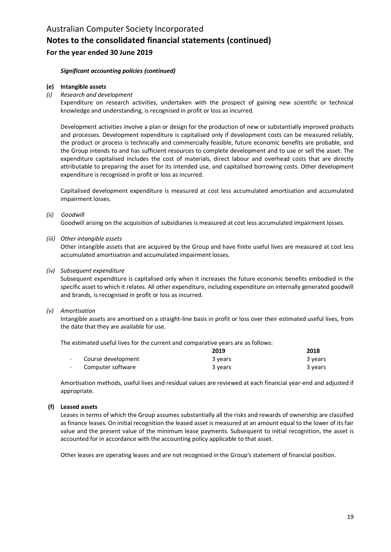#### *Significant accounting policies (continued)*

#### **(e) Intangible assets**

*(i) Research and development*

Expenditure on research activities, undertaken with the prospect of gaining new scientific or technical knowledge and understanding, is recognised in profit or loss as incurred.

Development activities involve a plan or design for the production of new or substantially improved products and processes. Development expenditure is capitalised only if development costs can be measured reliably, the product or process is technically and commercially feasible, future economic benefits are probable, and the Group intends to and has sufficient resources to complete development and to use or sell the asset. The expenditure capitalised includes the cost of materials, direct labour and overhead costs that are directly attributable to preparing the asset for its intended use, and capitalised borrowing costs. Other development expenditure is recognised in profit or loss as incurred.

Capitalised development expenditure is measured at cost less accumulated amortisation and accumulated impairment losses.

#### *(ii) Goodwill*

Goodwill arising on the acquisition of subsidiaries is measured at cost less accumulated impairment losses.

*(iii) Other intangible assets*

Other intangible assets that are acquired by the Group and have finite useful lives are measured at cost less accumulated amortisation and accumulated impairment losses.

#### *(iv) Subsequent expenditure*

Subsequent expenditure is capitalised only when it increases the future economic benefits embodied in the specific asset to which it relates. All other expenditure, including expenditure on internally generated goodwill and brands, is recognised in profit or loss as incurred.

#### *(v) Amortisation*

Intangible assets are amortised on a straight-line basis in profit or loss over their estimated useful lives, from the date that they are available for use.

The estimated useful lives for the current and comparative years are as follows:

|                    | 2019    | 2018    |
|--------------------|---------|---------|
| Course development | 3 years | 3 years |
| Computer software  | 3 years | 3 years |

Amortisation methods, useful lives and residual values are reviewed at each financial year-end and adjusted if appropriate.

#### **(f) Leased assets**

Leases in terms of which the Group assumes substantially all the risks and rewards of ownership are classified as finance leases. On initial recognition the leased asset is measured at an amount equal to the lower of its fair value and the present value of the minimum lease payments. Subsequent to initial recognition, the asset is accounted for in accordance with the accounting policy applicable to that asset.

Other leases are operating leases and are not recognised in the Group's statement of financial position.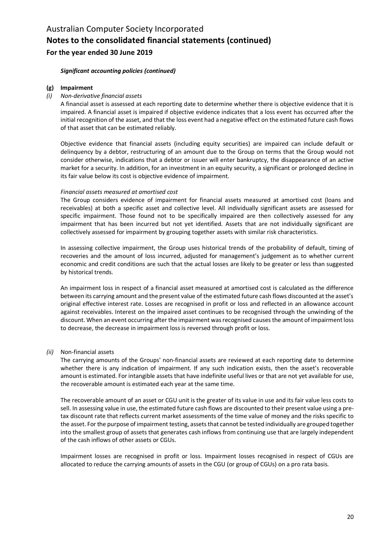#### *Significant accounting policies (continued)*

#### **(g) Impairment**

#### *(i) Non-derivative financial assets*

A financial asset is assessed at each reporting date to determine whether there is objective evidence that it is impaired. A financial asset is impaired if objective evidence indicates that a loss event has occurred after the initial recognition of the asset, and that the loss event had a negative effect on the estimated future cash flows of that asset that can be estimated reliably.

Objective evidence that financial assets (including equity securities) are impaired can include default or delinquency by a debtor, restructuring of an amount due to the Group on terms that the Group would not consider otherwise, indications that a debtor or issuer will enter bankruptcy, the disappearance of an active market for a security. In addition, for an investment in an equity security, a significant or prolonged decline in its fair value below its cost is objective evidence of impairment.

#### *Financial assets measured at amortised cost*

The Group considers evidence of impairment for financial assets measured at amortised cost (loans and receivables) at both a specific asset and collective level. All individually significant assets are assessed for specific impairment. Those found not to be specifically impaired are then collectively assessed for any impairment that has been incurred but not yet identified. Assets that are not individually significant are collectively assessed for impairment by grouping together assets with similar risk characteristics.

In assessing collective impairment, the Group uses historical trends of the probability of default, timing of recoveries and the amount of loss incurred, adjusted for management's judgement as to whether current economic and credit conditions are such that the actual losses are likely to be greater or less than suggested by historical trends.

An impairment loss in respect of a financial asset measured at amortised cost is calculated as the difference between its carrying amount and the present value of the estimated future cash flows discounted at the asset's original effective interest rate. Losses are recognised in profit or loss and reflected in an allowance account against receivables. Interest on the impaired asset continues to be recognised through the unwinding of the discount. When an event occurring after the impairment was recognised causes the amount of impairment loss to decrease, the decrease in impairment loss is reversed through profit or loss.

#### *(ii)* Non-financial assets

The carrying amounts of the Groups' non-financial assets are reviewed at each reporting date to determine whether there is any indication of impairment. If any such indication exists, then the asset's recoverable amount is estimated. For intangible assets that have indefinite useful lives or that are not yet available for use, the recoverable amount is estimated each year at the same time.

The recoverable amount of an asset or CGU unit is the greater of its value in use and its fair value less costs to sell. In assessing value in use, the estimated future cash flows are discounted to their present value using a pretax discount rate that reflects current market assessments of the time value of money and the risks specific to the asset. For the purpose of impairment testing, assets that cannot be tested individually are grouped together into the smallest group of assets that generates cash inflows from continuing use that are largely independent of the cash inflows of other assets or CGUs.

Impairment losses are recognised in profit or loss. Impairment losses recognised in respect of CGUs are allocated to reduce the carrying amounts of assets in the CGU (or group of CGUs) on a pro rata basis.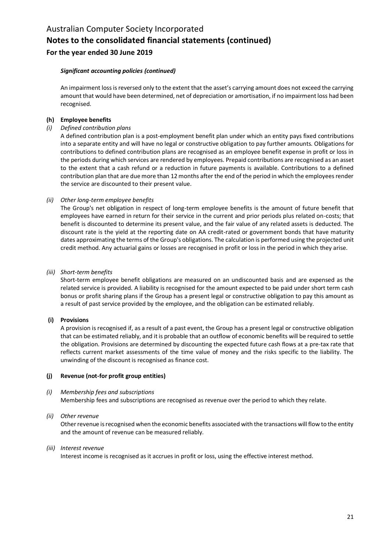#### *Significant accounting policies (continued)*

An impairment loss is reversed only to the extent that the asset's carrying amount does not exceed the carrying amount that would have been determined, net of depreciation or amortisation, if no impairment loss had been recognised.

#### **(h) Employee benefits**

*(i) Defined contribution plans*

A defined contribution plan is a post-employment benefit plan under which an entity pays fixed contributions into a separate entity and will have no legal or constructive obligation to pay further amounts. Obligations for contributions to defined contribution plans are recognised as an employee benefit expense in profit or loss in the periods during which services are rendered by employees. Prepaid contributions are recognised as an asset to the extent that a cash refund or a reduction in future payments is available. Contributions to a defined contribution plan that are due more than 12 months after the end of the period in which the employees render the service are discounted to their present value.

#### *(ii) Other long-term employee benefits*

The Group's net obligation in respect of long-term employee benefits is the amount of future benefit that employees have earned in return for their service in the current and prior periods plus related on-costs; that benefit is discounted to determine its present value, and the fair value of any related assets is deducted. The discount rate is the yield at the reporting date on AA credit-rated or government bonds that have maturity dates approximating the terms of the Group's obligations. The calculation is performed using the projected unit credit method. Any actuarial gains or losses are recognised in profit or loss in the period in which they arise.

#### *(iii) Short-term benefits*

Short-term employee benefit obligations are measured on an undiscounted basis and are expensed as the related service is provided. A liability is recognised for the amount expected to be paid under short term cash bonus or profit sharing plans if the Group has a present legal or constructive obligation to pay this amount as a result of past service provided by the employee, and the obligation can be estimated reliably.

#### **(i) Provisions**

A provision is recognised if, as a result of a past event, the Group has a present legal or constructive obligation that can be estimated reliably, and it is probable that an outflow of economic benefits will be required to settle the obligation. Provisions are determined by discounting the expected future cash flows at a pre-tax rate that reflects current market assessments of the time value of money and the risks specific to the liability. The unwinding of the discount is recognised as finance cost.

#### **(j) Revenue (not-for profit group entities)**

#### *(i) Membership fees and subscriptions*

Membership fees and subscriptions are recognised as revenue over the period to which they relate.

#### *(ii) Other revenue*

Other revenue is recognised when the economic benefits associated with the transactions will flow to the entity and the amount of revenue can be measured reliably.

#### *(iii) Interest revenue*

Interest income is recognised as it accrues in profit or loss, using the effective interest method.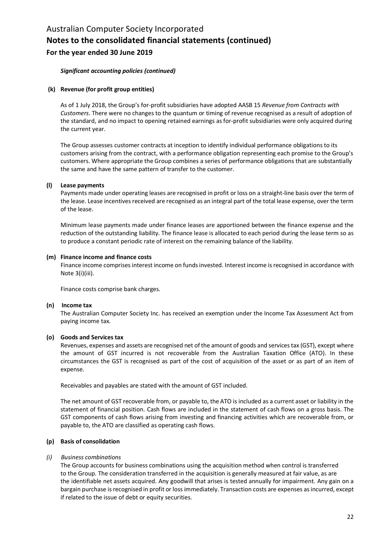#### *Significant accounting policies (continued)*

#### **(k) Revenue (for profit group entities)**

As of 1 July 2018, the Group's for-profit subsidiaries have adopted AASB 15 *Revenue from Contracts with Customers*. There were no changes to the quantum or timing of revenue recognised as a result of adoption of the standard, and no impact to opening retained earnings as for-profit subsidiaries were only acquired during the current year.

The Group assesses customer contracts at inception to identify individual performance obligations to its customers arising from the contract, with a performance obligation representing each promise to the Group's customers. Where appropriate the Group combines a series of performance obligations that are substantially the same and have the same pattern of transfer to the customer.

#### **(l) Lease payments**

Payments made under operating leases are recognised in profit or loss on a straight-line basis over the term of the lease. Lease incentives received are recognised as an integral part of the total lease expense, over the term of the lease.

Minimum lease payments made under finance leases are apportioned between the finance expense and the reduction of the outstanding liability. The finance lease is allocated to each period during the lease term so as to produce a constant periodic rate of interest on the remaining balance of the liability.

#### **(m) Finance income and finance costs**

Finance income comprises interest income on funds invested. Interest income is recognised in accordance with Note 3(i)(iii).

Finance costs comprise bank charges.

#### **(n) Income tax**

The Australian Computer Society Inc. has received an exemption under the Income Tax Assessment Act from paying income tax.

#### **(o) Goods and Services tax**

Revenues, expenses and assets are recognised net of the amount of goods and services tax (GST), except where the amount of GST incurred is not recoverable from the Australian Taxation Office (ATO). In these circumstances the GST is recognised as part of the cost of acquisition of the asset or as part of an item of expense.

Receivables and payables are stated with the amount of GST included.

The net amount of GST recoverable from, or payable to, the ATO is included as a current asset or liability in the statement of financial position. Cash flows are included in the statement of cash flows on a gross basis. The GST components of cash flows arising from investing and financing activities which are recoverable from, or payable to, the ATO are classified as operating cash flows.

#### **(p) Basis of consolidation**

#### *(i) Business combinations*

The Group accounts for business combinations using the acquisition method when control is transferred to the Group. The consideration transferred in the acquisition is generally measured at fair value, as are the identifiable net assets acquired. Any goodwill that arises is tested annually for impairment. Any gain on a bargain purchase is recognised in profit or loss immediately. Transaction costs are expenses as incurred, except if related to the issue of debt or equity securities.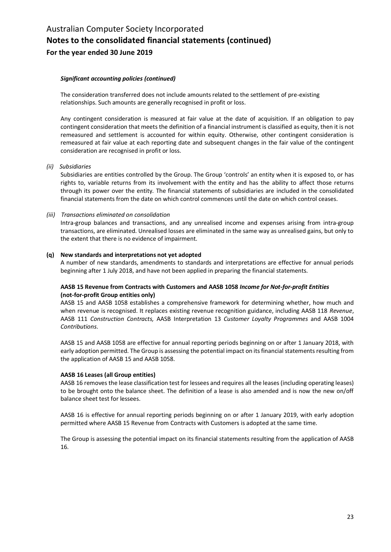#### *Significant accounting policies (continued)*

The consideration transferred does not include amounts related to the settlement of pre-existing relationships. Such amounts are generally recognised in profit or loss.

Any contingent consideration is measured at fair value at the date of acquisition. If an obligation to pay contingent consideration that meets the definition of a financial instrument is classified as equity, then it is not remeasured and settlement is accounted for within equity. Otherwise, other contingent consideration is remeasured at fair value at each reporting date and subsequent changes in the fair value of the contingent consideration are recognised in profit or loss.

*(ii) Subsidiaries*

Subsidiaries are entities controlled by the Group. The Group 'controls' an entity when it is exposed to, or has rights to, variable returns from its involvement with the entity and has the ability to affect those returns through its power over the entity. The financial statements of subsidiaries are included in the consolidated financial statements from the date on which control commences until the date on which control ceases.

#### *(iii) Transactions eliminated on consolidation*

Intra-group balances and transactions, and any unrealised income and expenses arising from intra-group transactions, are eliminated. Unrealised losses are eliminated in the same way as unrealised gains, but only to the extent that there is no evidence of impairment.

#### **(q) New standards and interpretations not yet adopted**

A number of new standards, amendments to standards and interpretations are effective for annual periods beginning after 1 July 2018, and have not been applied in preparing the financial statements.

#### **AASB 15 Revenue from Contracts with Customers and AASB 1058** *Income for Not-for-profit Entities*  **(not-for-profit Group entities only)**

AASB 15 and AASB 1058 establishes a comprehensive framework for determining whether, how much and when revenue is recognised. It replaces existing revenue recognition guidance, including AASB 118 *Revenue*, AASB 111 *Construction Contracts,* AASB Interpretation 13 *Customer Loyalty Programmes* and AASB 1004 *Contributions*.

AASB 15 and AASB 1058 are effective for annual reporting periods beginning on or after 1 January 2018, with early adoption permitted. The Group is assessing the potential impact on its financial statements resulting from the application of AASB 15 and AASB 1058.

#### **AASB 16 Leases (all Group entities)**

AASB 16 removes the lease classification test for lessees and requires all the leases (including operating leases) to be brought onto the balance sheet. The definition of a lease is also amended and is now the new on/off balance sheet test for lessees.

AASB 16 is effective for annual reporting periods beginning on or after 1 January 2019, with early adoption permitted where AASB 15 Revenue from Contracts with Customers is adopted at the same time.

The Group is assessing the potential impact on its financial statements resulting from the application of AASB 16.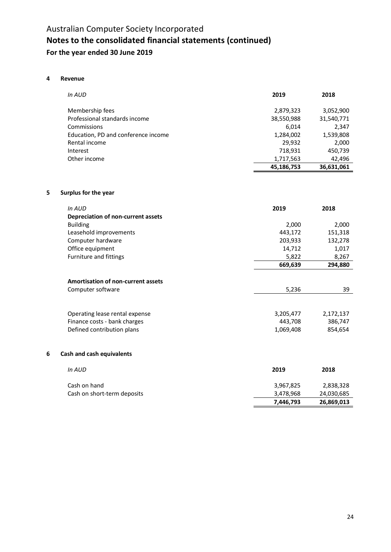#### **4 Revenue**

| In AUD                              | 2019       | 2018       |
|-------------------------------------|------------|------------|
| Membership fees                     | 2,879,323  | 3,052,900  |
| Professional standards income       | 38,550,988 | 31,540,771 |
| Commissions                         | 6,014      | 2,347      |
| Education, PD and conference income | 1,284,002  | 1,539,808  |
| Rental income                       | 29,932     | 2,000      |
| Interest                            | 718,931    | 450,739    |
| Other income                        | 1,717,563  | 42,496     |
|                                     | 45,186,753 | 36,631,061 |

### **5 Surplus for the year**

|   | In AUD                                    | 2019      | 2018      |
|---|-------------------------------------------|-----------|-----------|
|   | Depreciation of non-current assets        |           |           |
|   | <b>Building</b>                           | 2,000     | 2,000     |
|   | Leasehold improvements                    | 443,172   | 151,318   |
|   | Computer hardware                         | 203,933   | 132,278   |
|   | Office equipment                          | 14,712    | 1,017     |
|   | Furniture and fittings                    | 5,822     | 8,267     |
|   |                                           | 669,639   | 294,880   |
|   |                                           |           |           |
|   | <b>Amortisation of non-current assets</b> |           |           |
|   | Computer software                         | 5,236     | 39        |
|   |                                           |           |           |
|   | Operating lease rental expense            | 3,205,477 | 2,172,137 |
|   | Finance costs - bank charges              | 443,708   | 386,747   |
|   | Defined contribution plans                | 1,069,408 | 854,654   |
|   |                                           |           |           |
| 6 | Cash and cash equivalents                 |           |           |
|   |                                           |           |           |
|   | In AUD                                    | 2019      | 2018      |
|   |                                           |           |           |

|                             | 7.446.793 | 26,869,013 |
|-----------------------------|-----------|------------|
| Cash on short-term deposits | 3.478.968 | 24,030,685 |
| Cash on hand                | 3.967.825 | 2,838,328  |
|                             |           |            |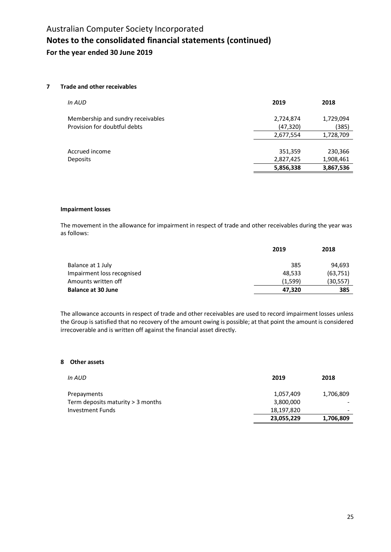#### **7 Trade and other receivables**

| In AUD                            | 2019      | 2018      |
|-----------------------------------|-----------|-----------|
| Membership and sundry receivables | 2,724,874 | 1,729,094 |
| Provision for doubtful debts      | (47, 320) | (385)     |
|                                   | 2,677,554 | 1,728,709 |
|                                   |           |           |
| Accrued income                    | 351,359   | 230,366   |
| Deposits                          | 2,827,425 | 1,908,461 |
|                                   | 5,856,338 | 3,867,536 |
|                                   |           |           |

#### **Impairment losses**

The movement in the allowance for impairment in respect of trade and other receivables during the year was as follows:

|                            | 2019    | 2018      |
|----------------------------|---------|-----------|
| Balance at 1 July          | 385     | 94.693    |
| Impairment loss recognised | 48.533  | (63, 751) |
| Amounts written off        | (1.599) | (30,557)  |
| <b>Balance at 30 June</b>  | 47.320  | 385       |

The allowance accounts in respect of trade and other receivables are used to record impairment losses unless the Group is satisfied that no recovery of the amount owing is possible; at that point the amount is considered irrecoverable and is written off against the financial asset directly.

#### **8 Other assets**

| 2019       | 2018      |
|------------|-----------|
| 1,057,409  | 1,706,809 |
| 3,800,000  |           |
| 18,197,820 |           |
| 23,055,229 | 1,706,809 |
|            |           |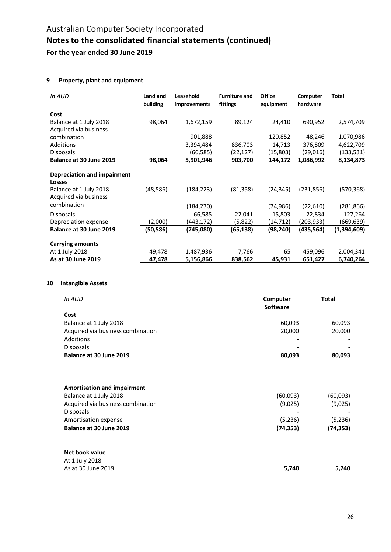### **9 Property, plant and equipment**

| In AUD                                          | Land and<br>building | Leasehold<br><i>improvements</i> | <b>Furniture and</b><br>fittings | <b>Office</b><br>equipment | Computer<br>hardware | <b>Total</b> |
|-------------------------------------------------|----------------------|----------------------------------|----------------------------------|----------------------------|----------------------|--------------|
| Cost                                            |                      |                                  |                                  |                            |                      |              |
| Balance at 1 July 2018<br>Acquired via business | 98,064               | 1,672,159                        | 89,124                           | 24,410                     | 690,952              | 2,574,709    |
| combination                                     |                      | 901,888                          |                                  | 120,852                    | 48,246               | 1,070,986    |
| Additions                                       |                      | 3,394,484                        | 836,703                          | 14,713                     | 376,809              | 4,622,709    |
| <b>Disposals</b>                                |                      | (66,585)                         | (22,127)                         | (15,803)                   | (29,016)             | (133,531)    |
| Balance at 30 June 2019                         | 98,064               | 5,901,946                        | 903,700                          | 144,172                    | 1,086,992            | 8,134,873    |
| Depreciation and impairment<br><b>Losses</b>    |                      |                                  |                                  |                            |                      |              |
| Balance at 1 July 2018<br>Acquired via business | (48, 586)            | (184, 223)                       | (81, 358)                        | (24, 345)                  | (231, 856)           | (570,368)    |
| combination                                     |                      | (184,270)                        |                                  | (74, 986)                  | (22,610)             | (281,866)    |
| <b>Disposals</b>                                |                      | 66,585                           | 22,041                           | 15,803                     | 22,834               | 127,264      |
| Depreciation expense                            | (2,000)              | (443,172)                        | (5,822)                          | (14,712)                   | (203,933)            | (669,639)    |
| Balance at 30 June 2019                         | (50,586)             | (745,080)                        | (65, 138)                        | (98,240)                   | (435,564)            | (1,394,609)  |
| <b>Carrying amounts</b>                         |                      |                                  |                                  |                            |                      |              |
| At 1 July 2018                                  | 49,478               | 1,487,936                        | 7,766                            | 65                         | 459,096              | 2,004,341    |
| As at 30 June 2019                              | 47,478               | 5,156,866                        | 838,562                          | 45,931                     | 651,427              | 6,740,264    |

#### **10 Intangible Assets**

| In AUD                            | Computer<br>Software     | <b>Total</b> |
|-----------------------------------|--------------------------|--------------|
| Cost                              |                          |              |
| Balance at 1 July 2018            | 60,093                   | 60,093       |
| Acquired via business combination | 20,000                   | 20,000       |
| Additions                         | $\overline{\phantom{a}}$ |              |
| <b>Disposals</b>                  | $\overline{\phantom{a}}$ |              |
| Balance at 30 June 2019           | 80,093                   | 80,093       |
|                                   |                          |              |

| <b>Amortisation and impairment</b> |           |          |
|------------------------------------|-----------|----------|
| Balance at 1 July 2018             | (60,093)  | (60,093) |
| Acquired via business combination  | (9,025)   | (9,025)  |
| <b>Disposals</b>                   |           |          |
| Amortisation expense               | (5,236)   | (5,236)  |
| Balance at 30 June 2019            | (74, 353) | (74,353) |
|                                    |           |          |

#### **Net book value**

| At 1 July 2018     | -     | $\overline{\phantom{0}}$ |
|--------------------|-------|--------------------------|
| As at 30 June 2019 | 5.740 | 5.740                    |
|                    |       |                          |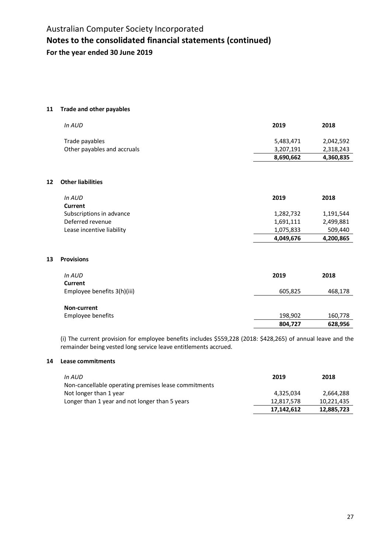#### **11 Trade and other payables**

| In AUD                      | 2019      | 2018      |
|-----------------------------|-----------|-----------|
| Trade payables              | 5,483,471 | 2,042,592 |
| Other payables and accruals | 3,207,191 | 2,318,243 |
|                             | 8,690,662 | 4,360,835 |

#### **12 Other liabilities**

| In AUD                    | 2019      | 2018      |
|---------------------------|-----------|-----------|
| Current                   |           |           |
| Subscriptions in advance  | 1,282,732 | 1,191,544 |
| Deferred revenue          | 1,691,111 | 2,499,881 |
| Lease incentive liability | 1,075,833 | 509,440   |
|                           | 4,049,676 | 4,200,865 |

#### **13 Provisions**

| In AUD                                 | 2019               | 2018               |
|----------------------------------------|--------------------|--------------------|
| Current<br>Employee benefits 3(h)(iii) | 605,825            | 468,178            |
|                                        |                    |                    |
| Non-current                            |                    |                    |
| Employee benefits                      | 198,902<br>804,727 | 160,778<br>628,956 |

(i) The current provision for employee benefits includes \$559,228 (2018: \$428,265) of annual leave and the remainder being vested long service leave entitlements accrued.

#### **14 Lease commitments**

| In AUD                                               | 2019       | 2018       |
|------------------------------------------------------|------------|------------|
| Non-cancellable operating premises lease commitments |            |            |
| Not longer than 1 year                               | 4.325.034  | 2.664.288  |
| Longer than 1 year and not longer than 5 years       | 12.817.578 | 10.221.435 |
|                                                      | 17,142,612 | 12,885,723 |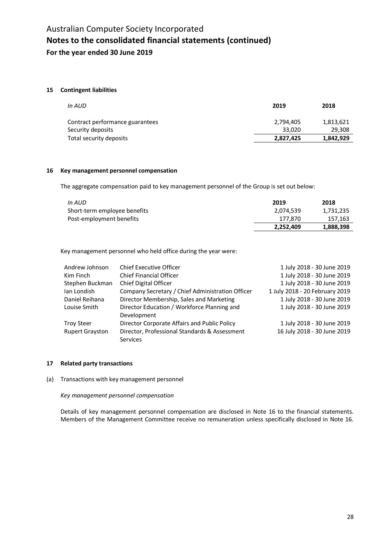#### **15 Contingent liabilities**

| In AUD                                               | 2019                | 2018                |
|------------------------------------------------------|---------------------|---------------------|
| Contract performance guarantees<br>Security deposits | 2,794,405<br>33.020 | 1,813,621<br>29,308 |
| Total security deposits                              | 2,827,425           | 1,842,929           |

#### **16 Key management personnel compensation**

The aggregate compensation paid to key management personnel of the Group is set out below:

| In AUD                       | 2019      | 2018      |
|------------------------------|-----------|-----------|
| Short-term employee benefits | 2.074.539 | 1,731,235 |
| Post-employment benefits     | 177.870   | 157,163   |
|                              | 2,252,409 | 1,888,398 |

Key management personnel who held office during the year were:

| Andrew Johnson         | Chief Executive Officer                          | 1 July 2018 - 30 June 2019     |
|------------------------|--------------------------------------------------|--------------------------------|
| Kim Finch              | <b>Chief Financial Officer</b>                   | 1 July 2018 - 30 June 2019     |
| Stephen Buckman        | Chief Digital Officer                            | 1 July 2018 - 30 June 2019     |
| Ian Londish            | Company Secretary / Chief Administration Officer | 1 July 2018 - 20 February 2019 |
| Daniel Reihana         | Director Membership, Sales and Marketing         | 1 July 2018 - 30 June 2019     |
| Louise Smith           | Director Education / Workforce Planning and      | 1 July 2018 - 30 June 2019     |
|                        | Development                                      |                                |
| <b>Troy Steer</b>      | Director Corporate Affairs and Public Policy     | 1 July 2018 - 30 June 2019     |
| <b>Rupert Grayston</b> | Director, Professional Standards & Assessment    | 16 July 2018 - 30 June 2019    |
|                        | Services                                         |                                |

#### **17 Related party transactions**

(a) Transactions with key management personnel

*Key management personnel compensation*

Details of key management personnel compensation are disclosed in Note 16 to the financial statements. Members of the Management Committee receive no remuneration unless specifically disclosed in Note 16.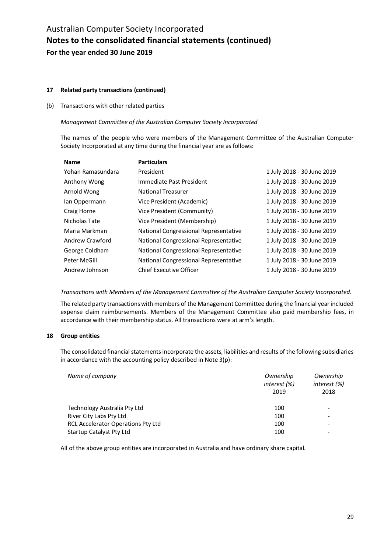#### **17 Related party transactions (continued)**

#### (b) Transactions with other related parties

#### *Management Committee of the Australian Computer Society Incorporated*

The names of the people who were members of the Management Committee of the Australian Computer Society Incorporated at any time during the financial year are as follows:

| <b>Name</b>       | <b>Particulars</b>                    |                            |
|-------------------|---------------------------------------|----------------------------|
| Yohan Ramasundara | President                             | 1 July 2018 - 30 June 2019 |
| Anthony Wong      | Immediate Past President              | 1 July 2018 - 30 June 2019 |
| Arnold Wong       | <b>National Treasurer</b>             | 1 July 2018 - 30 June 2019 |
| lan Oppermann     | Vice President (Academic)             | 1 July 2018 - 30 June 2019 |
| Craig Horne       | Vice President (Community)            | 1 July 2018 - 30 June 2019 |
| Nicholas Tate     | Vice President (Membership)           | 1 July 2018 - 30 June 2019 |
| Maria Markman     | National Congressional Representative | 1 July 2018 - 30 June 2019 |
| Andrew Crawford   | National Congressional Representative | 1 July 2018 - 30 June 2019 |
| George Coldham    | National Congressional Representative | 1 July 2018 - 30 June 2019 |
| Peter McGill      | National Congressional Representative | 1 July 2018 - 30 June 2019 |
| Andrew Johnson    | <b>Chief Executive Officer</b>        | 1 July 2018 - 30 June 2019 |

*Transactions with Members of the Management Committee of the Australian Computer Society Incorporated.*

The related party transactions with members of the Management Committee during the financial year included expense claim reimbursements. Members of the Management Committee also paid membership fees, in accordance with their membership status. All transactions were at arm's length.

#### **18 Group entities**

The consolidated financial statements incorporate the assets, liabilities and results of the following subsidiaries in accordance with the accounting policy described in Note 3(p):

| Name of company                           | Ownership<br>interest (%)<br>2019 | Ownership<br>interest (%)<br>2018 |
|-------------------------------------------|-----------------------------------|-----------------------------------|
| Technology Australia Pty Ltd              | 100                               | $\overline{\phantom{a}}$          |
| River City Labs Pty Ltd                   | 100                               | $\overline{\phantom{a}}$          |
| <b>RCL Accelerator Operations Pty Ltd</b> | 100                               | $\overline{\phantom{a}}$          |
| Startup Catalyst Pty Ltd                  | 100                               | $\overline{\phantom{a}}$          |

All of the above group entities are incorporated in Australia and have ordinary share capital.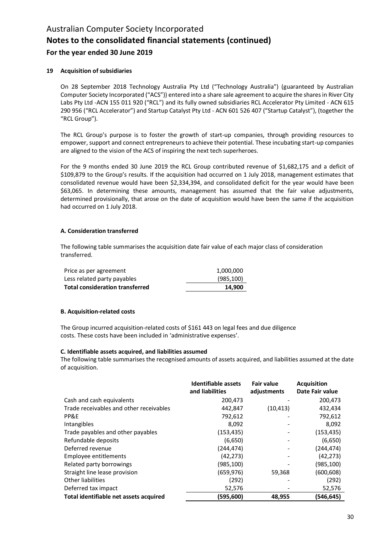#### **19 Acquisition of subsidiaries**

On 28 September 2018 Technology Australia Pty Ltd ("Technology Australia") (guaranteed by Australian Computer Society Incorporated ("ACS")) entered into a share sale agreement to acquire the shares in River City Labs Pty Ltd -ACN 155 011 920 ("RCL") and its fully owned subsidiaries RCL Accelerator Pty Limited - ACN 615 290 956 ("RCL Accelerator") and Startup Catalyst Pty Ltd - ACN 601 526 407 ("Startup Catalyst"), (together the "RCL Group").

The RCL Group's purpose is to foster the growth of start-up companies, through providing resources to empower, support and connect entrepreneurs to achieve their potential. These incubating start-up companies are aligned to the vision of the ACS of inspiring the next tech superheroes.

For the 9 months ended 30 June 2019 the RCL Group contributed revenue of \$1,682,175 and a deficit of \$109,879 to the Group's results. If the acquisition had occurred on 1 July 2018, management estimates that consolidated revenue would have been \$2,334,394, and consolidated deficit for the year would have been \$63,065. In determining these amounts, management has assumed that the fair value adjustments, determined provisionally, that arose on the date of acquisition would have been the same if the acquisition had occurred on 1 July 2018.

#### **A. Consideration transferred**

The following table summarises the acquisition date fair value of each major class of consideration transferred.

| <b>Total consideration transferred</b> | 14.900     |
|----------------------------------------|------------|
| Less related party payables            | (985, 100) |
| Price as per agreement                 | 1,000,000  |

#### **B. Acquisition-related costs**

The Group incurred acquisition-related costs of \$161 443 on legal fees and due diligence costs. These costs have been included in 'administrative expenses'.

#### **C. Identifiable assets acquired, and liabilities assumed**

The following table summarises the recognised amounts of assets acquired, and liabilities assumed at the date of acquisition.

|                                         | Identifiable assets<br>and liabilities | <b>Fair value</b><br>adjustments | <b>Acquisition</b><br>Date Fair value |
|-----------------------------------------|----------------------------------------|----------------------------------|---------------------------------------|
| Cash and cash equivalents               | 200,473                                |                                  | 200,473                               |
| Trade receivables and other receivables | 442,847                                | (10, 413)                        | 432,434                               |
| PP&E                                    | 792,612                                |                                  | 792,612                               |
| Intangibles                             | 8,092                                  |                                  | 8,092                                 |
| Trade payables and other payables       | (153, 435)                             |                                  | (153, 435)                            |
| Refundable deposits                     | (6,650)                                |                                  | (6,650)                               |
| Deferred revenue                        | (244, 474)                             |                                  | (244,474)                             |
| Employee entitlements                   | (42, 273)                              |                                  | (42, 273)                             |
| Related party borrowings                | (985,100)                              |                                  | (985,100)                             |
| Straight line lease provision           | (659,976)                              | 59,368                           | (600,608)                             |
| Other liabilities                       | (292)                                  |                                  | (292)                                 |
| Deferred tax impact                     | 52,576                                 |                                  | 52,576                                |
| Total identifiable net assets acquired  | (595,600)                              | 48,955                           | (546,645)                             |